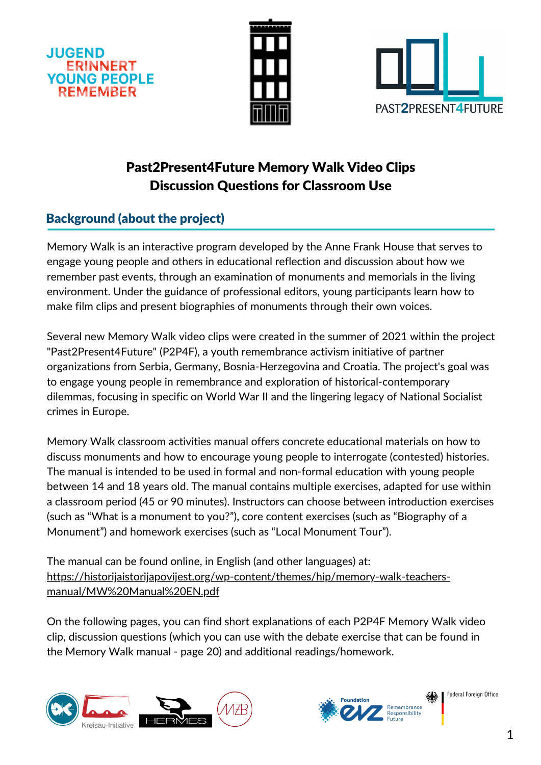





# Past2Present4Future Memory Walk Video Clips Discussion Questions for Classroom Use

# Background (about the project)

Memory Walk is an interactive program developed by the Anne Frank House that serves to engage young people and others in educational reflection and discussion about how we remember past events, through an examination of monuments and memorials in the living environment. Under the guidance of professional editors, young participants learn how to make film clips and present biographies of monuments through their own voices.

Several new Memory Walk video clips were created in the summer of 2021 within the project "Past2Present4Future" (P2P4F), a youth remembrance activism initiative of partner organizations from Serbia, Germany, Bosnia-Herzegovina and Croatia. The project's goal was to engage young people in remembrance and exploration of historical-contemporary dilemmas, focusing in specific on World War II and the lingering legacy of National Socialist crimes in Europe.

Memory Walk classroom activities manual offers concrete educational materials on how to discuss monuments and how to encourage young people to interrogate (contested) histories. The manual is intended to be used in formal and non-formal education with young people between 14 and 18 years old. The manual contains multiple exercises, adapted for use within a classroom period (45 or 90 minutes). Instructors can choose between introduction exercises (such as "What is a monument to you?"), core content exercises (such as "Biography of a Monument") and homework exercises (such as "Local Monument Tour").

The manual can be found online, in English (and other languages) at: [https://historijaistorijapovijest.org/wp-content/themes/hip/memory-walk-teachers](https://historijaistorijapovijest.org/wp-content/themes/hip/memory-walk-teachers-manual/MW%20Manual%20EN.pdf)manual/MW%20Manual%20EN.pdf

On the following pages, you can find short explanations of each P2P4F Memory Walk video clip, discussion questions (which you can use with the debate exercise that can be found in the Memory Walk manual - page 20) and additional readings/homework.





Federal Foreign Office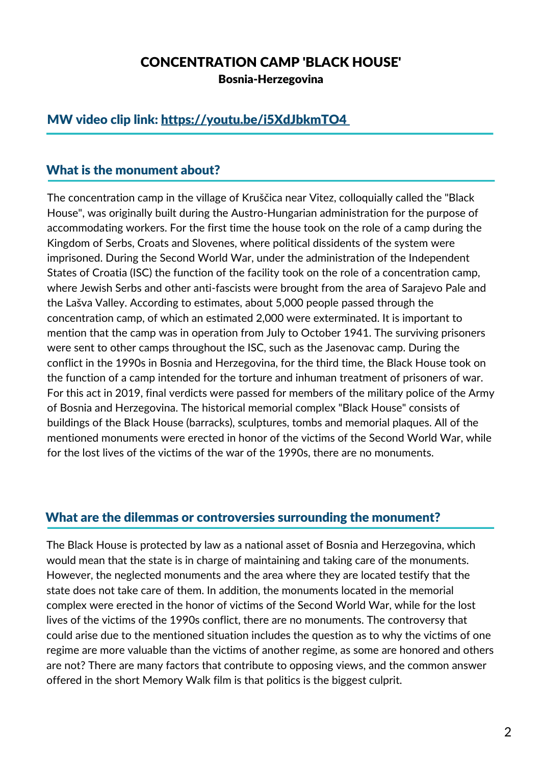## CONCENTRATION CAMP 'BLACK HOUSE'

Bosnia-Herzegovina

## MW video clip link: <https://youtu.be/i5XdJbkmTO4>

#### What is the monument about?

The concentration camp in the village of Kruščica near Vitez, colloquially called the "Black House", was originally built during the Austro-Hungarian administration for the purpose of accommodating workers. For the first time the house took on the role of a camp during the Kingdom of Serbs, Croats and Slovenes, where political dissidents of the system were imprisoned. During the Second World War, under the administration of the Independent States of Croatia (ISC) the function of the facility took on the role of a concentration camp, where Jewish Serbs and other anti-fascists were brought from the area of Sarajevo Pale and the Lašva Valley. According to estimates, about 5,000 people passed through the concentration camp, of which an estimated 2,000 were exterminated. It is important to mention that the camp was in operation from July to October 1941. The surviving prisoners were sent to other camps throughout the ISC, such as the Jasenovac camp. During the conflict in the 1990s in Bosnia and Herzegovina, for the third time, the Black House took on the function of a camp intended for the torture and inhuman treatment of prisoners of war. For this act in 2019, final verdicts were passed for members of the military police of the Army of Bosnia and Herzegovina. The historical memorial complex "Black House" consists of buildings of the Black House (barracks), sculptures, tombs and memorial plaques. All of the mentioned monuments were erected in honor of the victims of the Second World War, while for the lost lives of the victims of the war of the 1990s, there are no monuments.

#### What are the dilemmas or controversies surrounding the monument?

The Black House is protected by law as a national asset of Bosnia and Herzegovina, which would mean that the state is in charge of maintaining and taking care of the monuments. However, the neglected monuments and the area where they are located testify that the state does not take care of them. In addition, the monuments located in the memorial complex were erected in the honor of victims of the Second World War, while for the lost lives of the victims of the 1990s conflict, there are no monuments. The controversy that could arise due to the mentioned situation includes the question as to why the victims of one regime are more valuable than the victims of another regime, as some are honored and others are not? There are many factors that contribute to opposing views, and the common answer offered in the short Memory Walk film is that politics is the biggest culprit.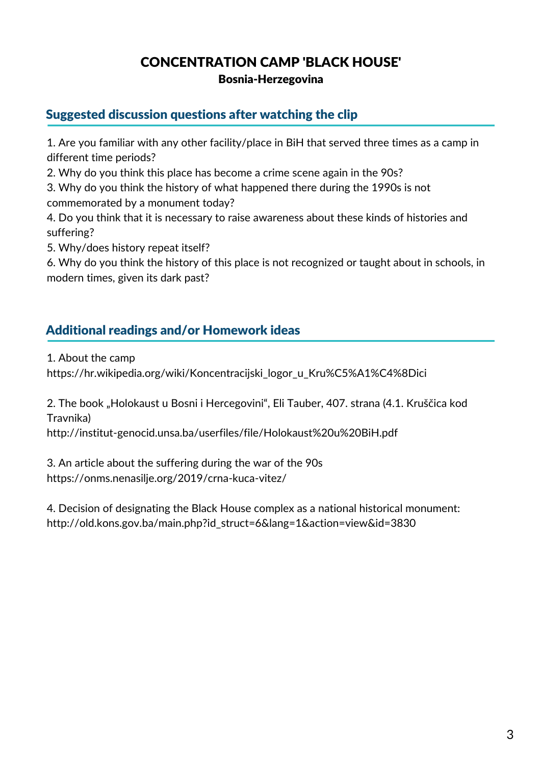# CONCENTRATION CAMP 'BLACK HOUSE'

Bosnia-Herzegovina

## Suggested discussion questions after watching the clip

1. Are you familiar with any other facility/place in BiH that served three times as a camp in different time periods?

2. Why do you think this place has become a crime scene again in the 90s?

3. Why do you think the history of what happened there during the 1990s is not commemorated by a monument today?

4. Do you think that it is necessary to raise awareness about these kinds of histories and suffering?

5. Why/does history repeat itself?

6. Why do you think the history of this place is not recognized or taught about in schools, in modern times, given its dark past?

# Additional readings and/or Homework ideas

1. About the camp

[https://hr.wikipedia.org/wiki/Koncentracijski\\_logor\\_u\\_Kru%C5%A1%C4%8Dici](https://hr.wikipedia.org/wiki/Koncentracijski_logor_u_Kru%C5%A1%C4%8Dici)

2. The book "Holokaust u Bosni i Hercegovini", Eli Tauber, 407. strana (4.1. Kruščica kod Travnika)

<http://institut-genocid.unsa.ba/userfiles/file/Holokaust%20u%20BiH.pdf>

3. An article about the suffering during the war of the 90s <https://onms.nenasilje.org/2019/crna-kuca-vitez/>

4. Decision of designating the Black House complex as a national historical monument: [http://old.kons.gov.ba/main.php?id\\_struct=6&lang=1&action=view&id=3830](http://old.kons.gov.ba/main.php?id_struct=6&lang=1&action=view&id=3830)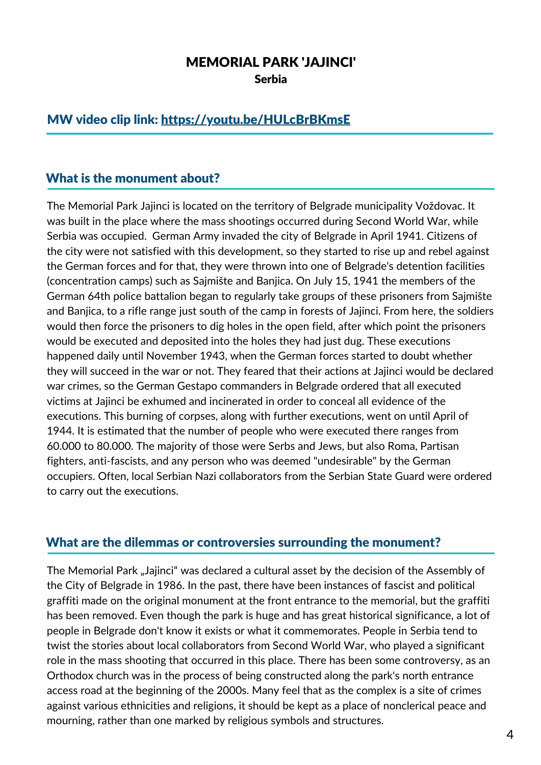### MEMORIAL PARK 'JAJINCI' Serbia

## MW video clip link: <https://youtu.be/HULcBrBKmsE>

#### What is the monument about?

The Memorial Park Jajinci is located on the territory of Belgrade municipality Voždovac. It was built in the place where the mass shootings occurred during Second World War, while Serbia was occupied. German Army invaded the city of Belgrade in April 1941. Citizens of the city were not satisfied with this development, so they started to rise up and rebel against the German forces and for that, they were thrown into one of Belgrade's detention facilities (concentration camps) such as Sajmište and Banjica. On July 15, 1941 the members of the German 64th police battalion began to regularly take groups of these prisoners from Sajmište and Banjica, to a rifle range just south of the camp in forests of Jajinci. From here, the soldiers would then force the prisoners to dig holes in the open field, after which point the prisoners would be executed and deposited into the holes they had just dug. These executions happened daily until November 1943, when the German forces started to doubt whether they will succeed in the war or not. They feared that their actions at Jajinci would be declared war crimes, so the German Gestapo commanders in Belgrade ordered that all executed victims at Jajinci be exhumed and incinerated in order to conceal all evidence of the executions. This burning of corpses, along with further executions, went on until April of 1944. It is estimated that the number of people who were executed there ranges from 60.000 to 80.000. The majority of those were Serbs and Jews, but also Roma, Partisan fighters, anti-fascists, and any person who was deemed "undesirable" by the German occupiers. Often, local Serbian Nazi collaborators from the Serbian State Guard were ordered to carry out the executions.

#### What are the dilemmas or controversies surrounding the monument?

The Memorial Park "Jajinci" was declared a cultural asset by the decision of the Assembly of the City of Belgrade in 1986. In the past, there have been instances of fascist and political graffiti made on the original monument at the front entrance to the memorial, but the graffiti has been removed. Even though the park is huge and has great historical significance, a lot of people in Belgrade don't know it exists or what it commemorates. People in Serbia tend to twist the stories about local collaborators from Second World War, who played a significant role in the mass shooting that occurred in this place. There has been some controversy, as an Orthodox church was in the process of being constructed along the park's north entrance access road at the beginning of the 2000s. Many feel that as the complex is a site of crimes against various ethnicities and religions, it should be kept as a place of nonclerical peace and mourning, rather than one marked by religious symbols and structures.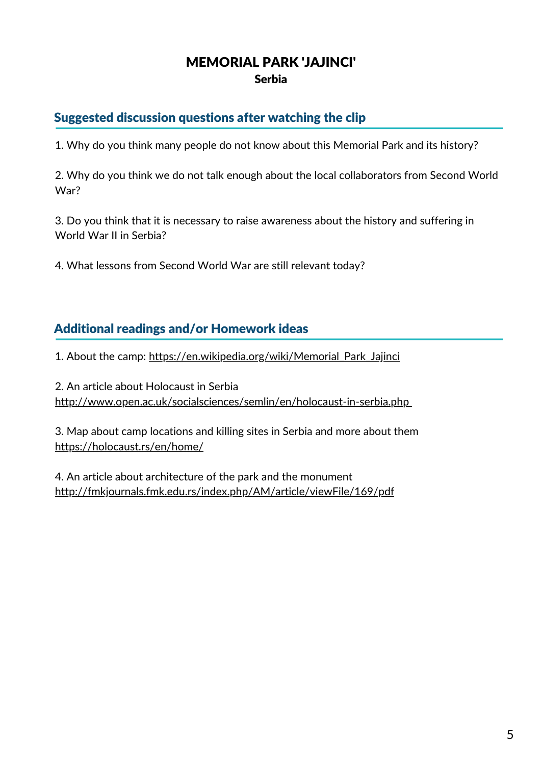# MEMORIAL PARK 'JAJINCI' Serbia

## Suggested discussion questions after watching the clip

1. Why do you think many people do not know about this Memorial Park and its history?

2. Why do you think we do not talk enough about the local collaborators from Second World War?

3. Do you think that it is necessary to raise awareness about the history and suffering in World War II in Serbia?

4. What lessons from Second World War are still relevant today?

## Additional readings and/or Homework ideas

1. About the camp: https://en.wikipedia.org/wiki/Memorial Park Jajinci

2. An article about Holocaust in Serbia <http://www.open.ac.uk/socialsciences/semlin/en/holocaust-in-serbia.php>

3. Map about camp locations and killing sites in Serbia and more about them <https://holocaust.rs/en/home/>

4. An article about architecture of the park and the monument <http://fmkjournals.fmk.edu.rs/index.php/AM/article/viewFile/169/pdf>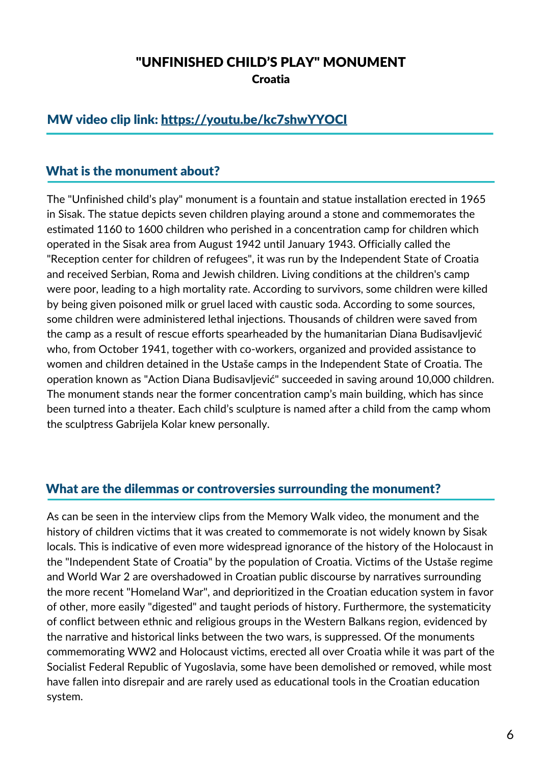# "UNFINISHED CHILD'S PLAY" MONUMENT Croatia

## MW video clip link: <https://youtu.be/kc7shwYYOCI>

#### What is the monument about?

The "Unfinished child's play" monument is a fountain and statue installation erected in 1965 in Sisak. The statue depicts seven children playing around a stone and commemorates the estimated 1160 to 1600 children who perished in a concentration camp for children which operated in the Sisak area from August 1942 until January 1943. Officially called the "Reception center for children of refugees", it was run by the Independent State of Croatia and received Serbian, Roma and Jewish children. Living conditions at the children's camp were poor, leading to a high mortality rate. According to survivors, some children were killed by being given poisoned milk or gruel laced with caustic soda. According to some sources, some children were administered lethal injections. Thousands of children were saved from the camp as a result of rescue efforts spearheaded by the humanitarian Diana Budisavljević who, from October 1941, together with co-workers, organized and provided assistance to women and children detained in the Ustaše camps in the Independent State of Croatia. The operation known as "Action Diana Budisavljević" succeeded in saving around 10,000 children. The monument stands near the former concentration camp's main building, which has since been turned into a theater. Each child's sculpture is named after a child from the camp whom the sculptress Gabrijela Kolar knew personally.

#### What are the dilemmas or controversies surrounding the monument?

As can be seen in the interview clips from the Memory Walk video, the monument and the history of children victims that it was created to commemorate is not widely known by Sisak locals. This is indicative of even more widespread ignorance of the history of the Holocaust in the "Independent State of Croatia" by the population of Croatia. Victims of the Ustaše regime and World War 2 are overshadowed in Croatian public discourse by narratives surrounding the more recent "Homeland War", and deprioritized in the Croatian education system in favor of other, more easily "digested" and taught periods of history. Furthermore, the systematicity of conflict between ethnic and religious groups in the Western Balkans region, evidenced by the narrative and historical links between the two wars, is suppressed. Of the monuments commemorating WW2 and Holocaust victims, erected all over Croatia while it was part of the Socialist Federal Republic of Yugoslavia, some have been demolished or removed, while most have fallen into disrepair and are rarely used as educational tools in the Croatian education system.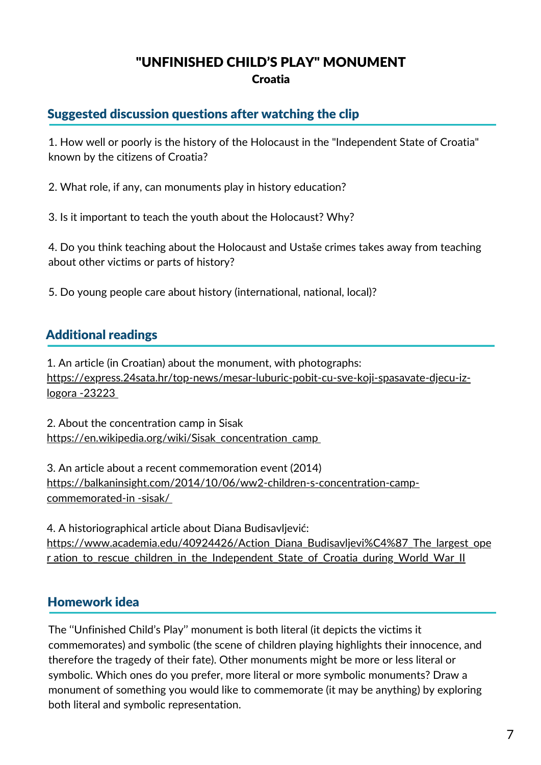# "UNFINISHED CHILD'S PLAY" MONUMENT Croatia

## Suggested discussion questions after watching the clip

1. How well or poorly is the history of the Holocaust in the "Independent State of Croatia" known by the citizens of Croatia?

2. What role, if any, can monuments play in history education?

3. Is it important to teach the youth about the Holocaust? Why?

4. Do you think teaching about the Holocaust and Ustaše crimes takes away from teaching about other victims or parts of history?

5. Do young people care about history (international, national, local)?

## Additional readings

1. An article (in Croatian) about the monument, with photographs: [https://express.24sata.hr/top-news/mesar-luburic-pobit-cu-sve-koji-spasavate-djecu-iz](https://express.24sata.hr/top-news/mesar-luburic-pobit-cu-sve-koji-spasavate-djecu-iz-logora%20-23223)logora -23223

2. About the concentration camp in Sisak [https://en.wikipedia.org/wiki/Sisak\\_concentration\\_camp](https://en.wikipedia.org/wiki/Sisak_concentration_camp)

3. An article about a recent commemoration event (2014) [https://balkaninsight.com/2014/10/06/ww2-children-s-concentration-camp](https://balkaninsight.com/2014/10/06/ww2-children-s-concentration-camp-commemorated-in%20-sisak/)commemorated-in -sisak/

4. A historiographical article about Diana Budisavljević: [https://www.academia.edu/40924426/Action\\_Diana\\_Budisavljevi%C4%87\\_The\\_largest\\_ope](https://www.academia.edu/40924426/Action_Diana_Budisavljevi%C4%87_The_largest_oper%20ation_to_rescue_children_in_the_Independent_State_of_Croatia_during_World_War_II) r ation to rescue children in the Independent State of Croatia during World War II

## Homework idea

The ''Unfinished Child's Play'' monument is both literal (it depicts the victims it commemorates) and symbolic (the scene of children playing highlights their innocence, and therefore the tragedy of their fate). Other monuments might be more or less literal or symbolic. Which ones do you prefer, more literal or more symbolic monuments? Draw a monument of something you would like to commemorate (it may be anything) by exploring both literal and symbolic representation.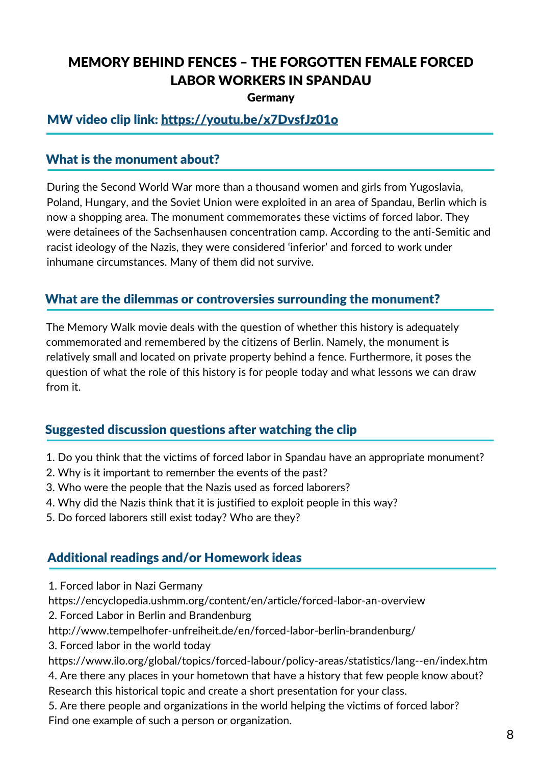# MEMORY BEHIND FENCES – THE FORGOTTEN FEMALE FORCED LABOR WORKERS IN SPANDAU

Germany

## MW video clip link: <https://youtu.be/x7DvsfJz01o>

### What is the monument about?

During the Second World War more than a thousand women and girls from Yugoslavia, Poland, Hungary, and the Soviet Union were exploited in an area of Spandau, Berlin which is now a shopping area. The monument commemorates these victims of forced labor. They were detainees of the Sachsenhausen concentration camp. According to the anti-Semitic and racist ideology of the Nazis, they were considered 'inferior' and forced to work under inhumane circumstances. Many of them did not survive.

## What are the dilemmas or controversies surrounding the monument?

The Memory Walk movie deals with the question of whether this history is adequately commemorated and remembered by the citizens of Berlin. Namely, the monument is relatively small and located on private property behind a fence. Furthermore, it poses the question of what the role of this history is for people today and what lessons we can draw from it.

## Suggested discussion questions after watching the clip

- 1. Do you think that the victims of forced labor in Spandau have an appropriate monument?
- 2. Why is it important to remember the events of the past?
- 3. Who were the people that the Nazis used as forced laborers?
- 4. Why did the Nazis think that it is justified to exploit people in this way?
- 5. Do forced laborers still exist today? Who are they?

## Additional readings and/or Homework ideas

1. Forced labor in Nazi Germany

<https://encyclopedia.ushmm.org/content/en/article/forced-labor-an-overview>

2. Forced Labor in Berlin and Brandenburg

http://www.tempelhofer-unfreiheit.de/en/forced-labor-berlin-brandenburg/

3. Forced labor in the world today

https://www.ilo.org/global/topics/forced-labour/policy-areas/statistics/lang--en/index.htm

4. Are there any places in your hometown that have a history that few people know about?

Research this historical topic and create a short presentation for your class.

5. Are there people and organizations in the world helping the victims of forced labor? Find one example of such a person or organization.